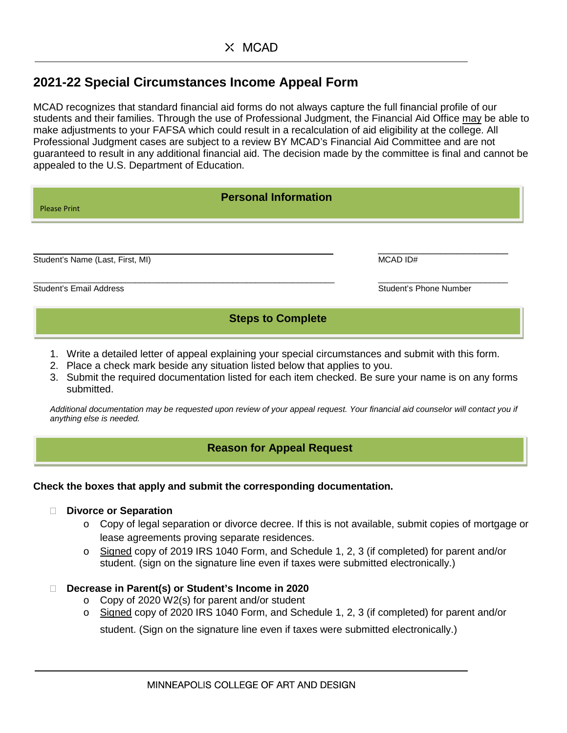# **2021-22 Special Circumstances Income Appeal Form**

MCAD recognizes that standard financial aid forms do not always capture the full financial profile of our students and their families. Through the use of Professional Judgment, the Financial Aid Office may be able to make adjustments to your FAFSA which could result in a recalculation of aid eligibility at the college. All Professional Judgment cases are subject to a review BY MCAD's Financial Aid Committee and are not guaranteed to result in any additional financial aid. The decision made by the committee is final and cannot be appealed to the U.S. Department of Education.

| <b>Personal Information</b><br><b>Please Print</b> |                        |  |  |  |  |
|----------------------------------------------------|------------------------|--|--|--|--|
| Student's Name (Last, First, MI)                   | MCAD ID#               |  |  |  |  |
| <b>Student's Email Address</b>                     | Student's Phone Number |  |  |  |  |
| <b>Steps to Complete</b>                           |                        |  |  |  |  |

- 1. Write a detailed letter of appeal explaining your special circumstances and submit with this form.
- 2. Place a check mark beside any situation listed below that applies to you.
- 3. Submit the required documentation listed for each item checked. Be sure your name is on any forms submitted.

*Additional documentation may be requested upon review of your appeal request. Your financial aid counselor will contact you if anything else is needed.*

## **Reason for Appeal Request**

### **Check the boxes that apply and submit the corresponding documentation.**

- **Divorce or Separation** 
	- o Copy of legal separation or divorce decree. If this is not available, submit copies of mortgage or lease agreements proving separate residences.
	- o Signed copy of 2019 IRS 1040 Form, and Schedule 1, 2, 3 (if completed) for parent and/or student. (sign on the signature line even if taxes were submitted electronically.)

### **Decrease in Parent(s) or Student's Income in 2020**

- o Copy of 2020 W2(s) for parent and/or student
- o Signed copy of 2020 IRS 1040 Form, and Schedule 1, 2, 3 (if completed) for parent and/or

student. (Sign on the signature line even if taxes were submitted electronically.)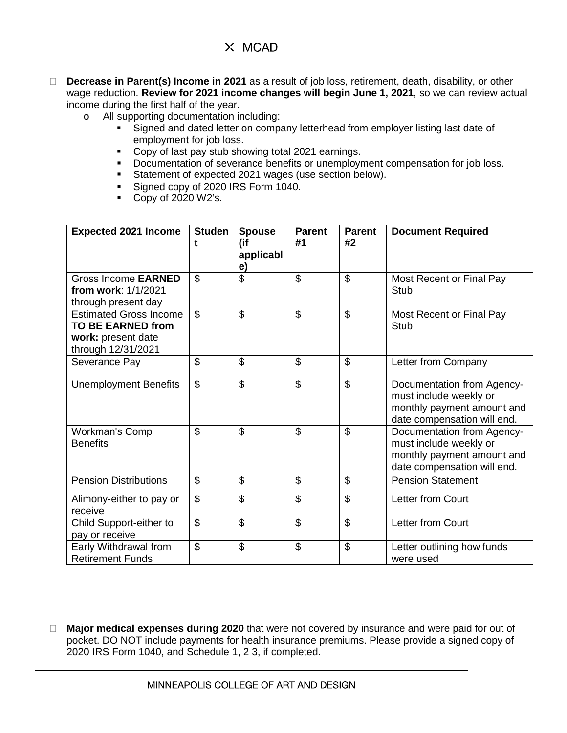- **Decrease in Parent(s) Income in 2021** as a result of job loss, retirement, death, disability, or other wage reduction. **Review for 2021 income changes will begin June 1, 2021**, so we can review actual income during the first half of the year.
	- o All supporting documentation including:
		- Signed and dated letter on company letterhead from employer listing last date of employment for job loss.
		- **Copy of last pay stub showing total 2021 earnings.**
		- Documentation of severance benefits or unemployment compensation for job loss.
		- Statement of expected 2021 wages (use section below).
		- Signed copy of 2020 IRS Form 1040.
		- Copy of  $2020 W2$ 's.

| <b>Expected 2021 Income</b>                                                                           | <b>Studen</b><br>t       | <b>Spouse</b><br>(if<br>applicabl<br>e) | <b>Parent</b><br>#1      | <b>Parent</b><br>#2      | <b>Document Required</b>                                                                                          |
|-------------------------------------------------------------------------------------------------------|--------------------------|-----------------------------------------|--------------------------|--------------------------|-------------------------------------------------------------------------------------------------------------------|
| Gross Income EARNED<br>from work: 1/1/2021<br>through present day                                     | $\mathfrak{L}$           | $\overline{\mathcal{S}}$                | $\overline{\mathcal{S}}$ | $\overline{\mathcal{S}}$ | Most Recent or Final Pay<br>Stub                                                                                  |
| <b>Estimated Gross Income</b><br><b>TO BE EARNED from</b><br>work: present date<br>through 12/31/2021 | $\overline{\mathcal{S}}$ | \$                                      | \$                       | \$                       | Most Recent or Final Pay<br>Stub                                                                                  |
| Severance Pay                                                                                         | \$                       | \$                                      | $\mathfrak{L}$           | $\overline{\mathcal{S}}$ | Letter from Company                                                                                               |
| <b>Unemployment Benefits</b>                                                                          | \$                       | $\mathfrak{S}$                          | $\mathfrak{L}$           | $\overline{\mathcal{S}}$ | Documentation from Agency-<br>must include weekly or<br>monthly payment amount and<br>date compensation will end. |
| <b>Workman's Comp</b><br><b>Benefits</b>                                                              | $\overline{\mathcal{S}}$ | $\overline{\mathcal{S}}$                | $\overline{\mathcal{S}}$ | $\overline{\mathcal{S}}$ | Documentation from Agency-<br>must include weekly or<br>monthly payment amount and<br>date compensation will end. |
| <b>Pension Distributions</b>                                                                          | \$                       | \$                                      | \$                       | \$                       | <b>Pension Statement</b>                                                                                          |
| Alimony-either to pay or<br>receive                                                                   | \$                       | \$                                      | $\mathfrak{L}$           | $\overline{\mathcal{S}}$ | <b>Letter from Court</b>                                                                                          |
| Child Support-either to<br>pay or receive                                                             | \$                       | \$                                      | $\mathfrak{S}$           | $\overline{\mathcal{S}}$ | <b>Letter from Court</b>                                                                                          |
| Early Withdrawal from<br><b>Retirement Funds</b>                                                      | $\mathfrak{L}$           | \$                                      | $\mathfrak{L}$           | \$                       | Letter outlining how funds<br>were used                                                                           |

 **Major medical expenses during 2020** that were not covered by insurance and were paid for out of pocket. DO NOT include payments for health insurance premiums. Please provide a signed copy of 2020 IRS Form 1040, and Schedule 1, 2 3, if completed.